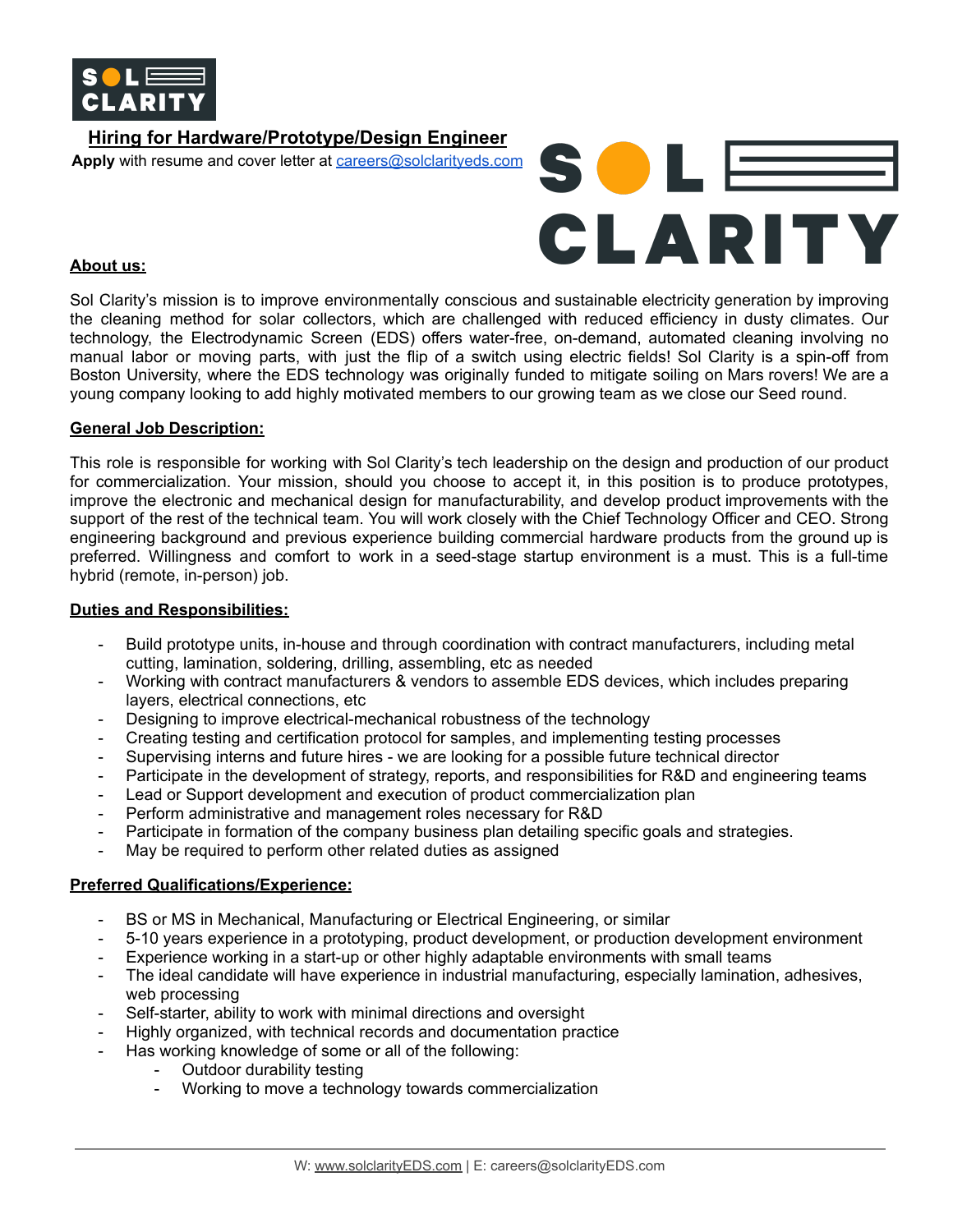

# **Hiring for Hardware/Prototype/Design Engineer Apply** with resume and cover letter at [careers@solclarityeds.com](mailto:careers@solclarityeds.com)



### **About us:**

Sol Clarity's mission is to improve environmentally conscious and sustainable electricity generation by improving the cleaning method for solar collectors, which are challenged with reduced efficiency in dusty climates. Our technology, the Electrodynamic Screen (EDS) offers water-free, on-demand, automated cleaning involving no manual labor or moving parts, with just the flip of a switch using electric fields! Sol Clarity is a spin-off from Boston University, where the EDS technology was originally funded to mitigate soiling on Mars rovers! We are a young company looking to add highly motivated members to our growing team as we close our Seed round.

### **General Job Description:**

This role is responsible for working with Sol Clarity's tech leadership on the design and production of our product for commercialization. Your mission, should you choose to accept it, in this position is to produce prototypes, improve the electronic and mechanical design for manufacturability, and develop product improvements with the support of the rest of the technical team. You will work closely with the Chief Technology Officer and CEO. Strong engineering background and previous experience building commercial hardware products from the ground up is preferred. Willingness and comfort to work in a seed-stage startup environment is a must. This is a full-time hybrid (remote, in-person) job.

#### **Duties and Responsibilities:**

- Build prototype units, in-house and through coordination with contract manufacturers, including metal cutting, lamination, soldering, drilling, assembling, etc as needed
- Working with contract manufacturers & vendors to assemble EDS devices, which includes preparing layers, electrical connections, etc
- Designing to improve electrical-mechanical robustness of the technology
- Creating testing and certification protocol for samples, and implementing testing processes
- Supervising interns and future hires we are looking for a possible future technical director
- Participate in the development of strategy, reports, and responsibilities for R&D and engineering teams
- Lead or Support development and execution of product commercialization plan
- Perform administrative and management roles necessary for R&D
- Participate in formation of the company business plan detailing specific goals and strategies.
- May be required to perform other related duties as assigned

#### **Preferred Qualifications/Experience:**

- BS or MS in Mechanical, Manufacturing or Electrical Engineering, or similar
- 5-10 years experience in a prototyping, product development, or production development environment
- Experience working in a start-up or other highly adaptable environments with small teams
- The ideal candidate will have experience in industrial manufacturing, especially lamination, adhesives, web processing
- Self-starter, ability to work with minimal directions and oversight
- Highly organized, with technical records and documentation practice
- Has working knowledge of some or all of the following:
	- Outdoor durability testing
		- Working to move a technology towards commercialization